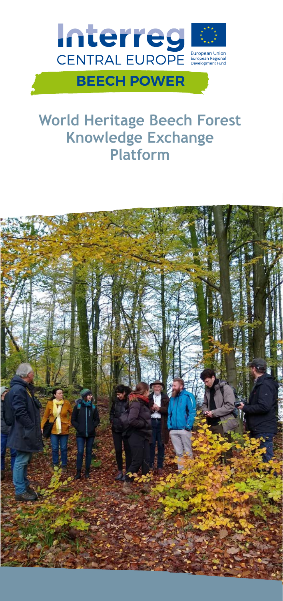

# **World Heritage Beech Forest Knowledge Exchange Platform**

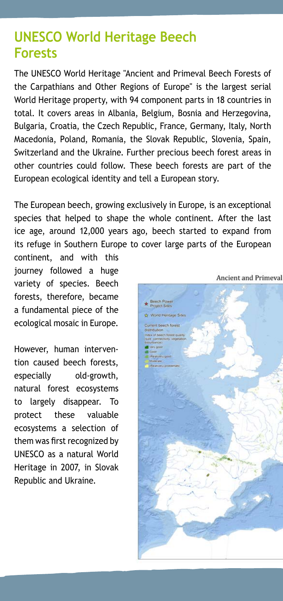# **UNESCO World Heritage Beech Forests**

The UNESCO World Heritage "Ancient and Primeval Beech Forests of the Carpathians and Other Regions of Europe" is the largest serial World Heritage property, with 94 component parts in 18 countries in total. It covers areas in Albania, Belgium, Bosnia and Herzegovina, Bulgaria, Croatia, the Czech Republic, France, Germany, Italy, North Macedonia, Poland, Romania, the Slovak Republic, Slovenia, Spain, Switzerland and the Ukraine. Further precious beech forest areas in other countries could follow. These beech forests are part of the European ecological identity and tell a European story.

The European beech, growing exclusively in Europe, is an exceptional species that helped to shape the whole continent. After the last ice age, around 12,000 years ago, beech started to expand from its refuge in Southern Europe to cover large parts of the European

continent, and with this journey followed a huge variety of species. Beech forests, therefore, became a fundamental piece of the ecological mosaic in Europe.

However, human intervention caused beech forests, especially old-growth, natural forest ecosystems to largely disappear. To protect these valuable ecosystems a selection of them was first recognized by UNESCO as a natural World Heritage in 2007, in Slovak Republic and Ukraine.

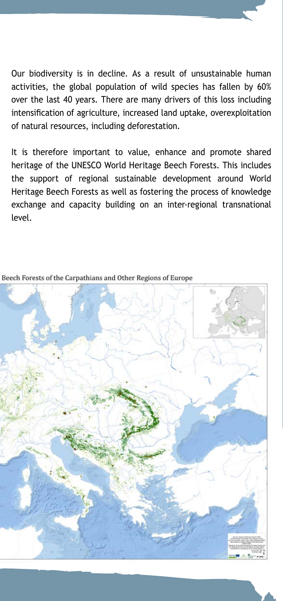Our biodiversity is in decline. As a result of unsustainable human activities, the global population of wild species has fallen by 60% over the last 40 years. There are many drivers of this loss including intensification of agriculture, increased land uptake, overexploitation of natural resources, including deforestation.

It is therefore important to value, enhance and promote shared heritage of the UNESCO World Heritage Beech Forests. This includes the support of regional sustainable development around World Heritage Beech Forests as well as fostering the process of knowledge exchange and capacity building on an inter-regional transnational level.



Beech Forests of the Carpathians and Other Regions of Europe

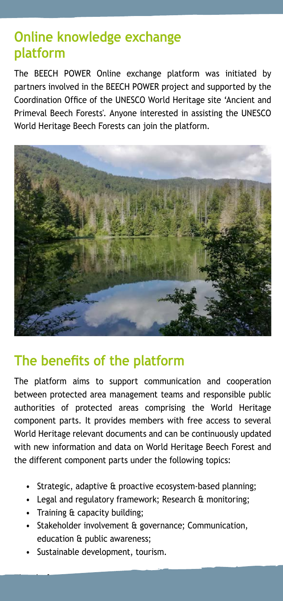# **Online knowledge exchange platform**

The BEECH POWER Online exchange platform was initiated by partners involved in the BEECH POWER project and supported by the Coordination Office of the UNESCO World Heritage site 'Ancient and Primeval Beech Forests'. Anyone interested in assisting the UNESCO World Heritage Beech Forests can join the platform.



## **The benefits of the platform**

The platform aims to support communication and cooperation between protected area management teams and responsible public authorities of protected areas comprising the World Heritage component parts. It provides members with free access to several World Heritage relevant documents and can be continuously updated with new information and data on World Heritage Beech Forest and the different component parts under the following topics:

- Strategic, adaptive & proactive ecosystem-based planning;
- Legal and regulatory framework; Research & monitoring;
- Training & capacity building;
- Stakeholder involvement & governance; Communication, education & public awareness;

The platform of  $\mu$  m of  $\mu$  managers  $\mu$  managers of  $W$  managers of  $W$ 

• Sustainable development, tourism.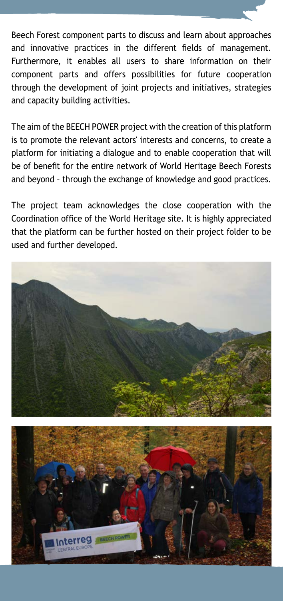Beech Forest component parts to discuss and learn about approaches and innovative practices in the different fields of management. Furthermore, it enables all users to share information on their component parts and offers possibilities for future cooperation through the development of joint projects and initiatives, strategies and capacity building activities.

The aim of the BEECH POWER project with the creation of this platform is to promote the relevant actors' interests and concerns, to create a platform for initiating a dialogue and to enable cooperation that will be of benefit for the entire network of World Heritage Beech Forests and beyond – through the exchange of knowledge and good practices.

The project team acknowledges the close cooperation with the Coordination office of the World Heritage site. It is highly appreciated that the platform can be further hosted on their project folder to be used and further developed.